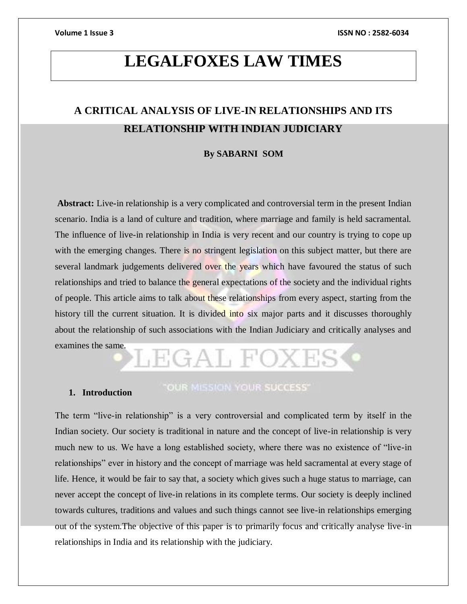# **LEGALFOXES LAW TIMES**

# **A CRITICAL ANALYSIS OF LIVE-IN RELATIONSHIPS AND ITS RELATIONSHIP WITH INDIAN JUDICIARY**

# **By SABARNI SOM**

**Abstract:** Live**-**in relationship is a very complicated and controversial term in the present Indian scenario. India is a land of culture and tradition, where marriage and family is held sacramental. The influence of live-in relationship in India is very recent and our country is trying to cope up with the emerging changes. There is no stringent legislation on this subject matter, but there are several landmark judgements delivered over the years which have favoured the status of such relationships and tried to balance the general expectations of the society and the individual rights of people. This article aims to talk about these relationships from every aspect, starting from the history till the current situation. It is divided into six major parts and it discusses thoroughly about the relationship of such associations with the Indian Judiciary and critically analyses and examines the same.

# LEGAL FOXI

# **1. Introduction**

# "OUR MISSION YOUR SUCCESS"

The term "live-in relationship" is a very controversial and complicated term by itself in the Indian society. Our society is traditional in nature and the concept of live-in relationship is very much new to us. We have a long established society, where there was no existence of "live-in relationships" ever in history and the concept of marriage was held sacramental at every stage of life. Hence, it would be fair to say that, a society which gives such a huge status to marriage, can never accept the concept of live-in relations in its complete terms. Our society is deeply inclined towards cultures, traditions and values and such things cannot see live-in relationships emerging out of the system.The objective of this paper is to primarily focus and critically analyse live-in relationships in India and its relationship with the judiciary.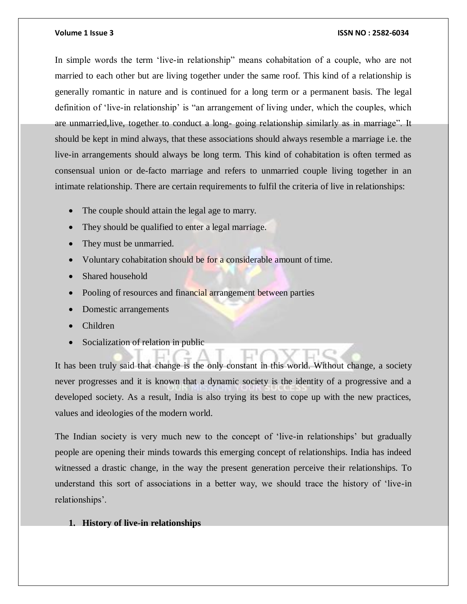In simple words the term 'live-in relationship" means cohabitation of a couple, who are not married to each other but are living together under the same roof. This kind of a relationship is generally romantic in nature and is continued for a long term or a permanent basis. The legal definition of 'live-in relationship' is "an arrangement of living under, which the couples, which are unmarried,live, together to conduct a long- going relationship similarly as in marriage". It should be kept in mind always, that these associations should always resemble a marriage i.e. the live-in arrangements should always be long term. This kind of cohabitation is often termed as consensual union or de-facto marriage and refers to unmarried couple living together in an intimate relationship. There are certain requirements to fulfil the criteria of live in relationships:

- The couple should attain the legal age to marry.
- They should be qualified to enter a legal marriage.
- They must be unmarried.
- Voluntary cohabitation should be for a considerable amount of time.
- Shared household
- Pooling of resources and financial arrangement between parties
- Domestic arrangements
- Children
- Socialization of relation in public

It has been truly said that change is the only constant in this world. Without change, a society never progresses and it is known that a dynamic society is the identity of a progressive and a developed society. As a result, India is also trying its best to cope up with the new practices, values and ideologies of the modern world.

The Indian society is very much new to the concept of 'live-in relationships' but gradually people are opening their minds towards this emerging concept of relationships. India has indeed witnessed a drastic change, in the way the present generation perceive their relationships. To understand this sort of associations in a better way, we should trace the history of 'live-in relationships'.

**1. History of live-in relationships**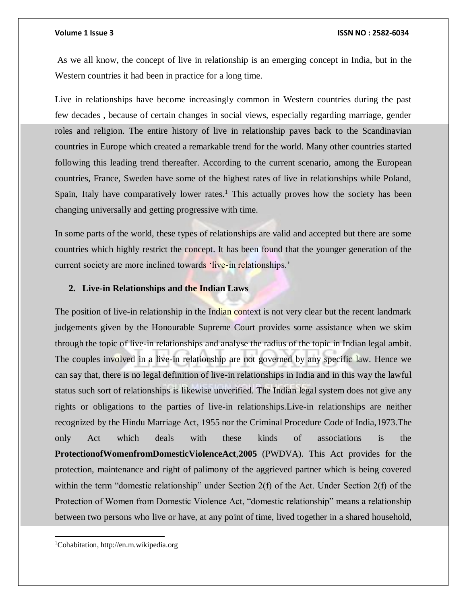As we all know, the concept of live in relationship is an emerging concept in India, but in the Western countries it had been in practice for a long time.

Live in relationships have become increasingly common in Western countries during the past few decades , because of certain changes in social views, especially regarding marriage, gender roles and religion. The entire history of live in relationship paves back to the Scandinavian countries in Europe which created a remarkable trend for the world. Many other countries started following this leading trend thereafter. According to the current scenario, among the European countries, France, Sweden have some of the highest rates of live in relationships while Poland, Spain, Italy have comparatively lower rates.<sup>1</sup> This actually proves how the society has been changing universally and getting progressive with time.

In some parts of the world, these types of relationships are valid and accepted but there are some countries which highly restrict the concept. It has been found that the younger generation of the current society are more inclined towards 'live-in relationships.'

# **2. Live-in Relationships and the Indian Laws**

The position of live-in relationship in the Indian context is not very clear but the recent landmark judgements given by the Honourable Supreme Court provides some assistance when we skim through the topic of live-in relationships and analyse the radius of the topic in Indian legal ambit. The couples involved in a live-in relationship are not governed by any specific law. Hence we can say that, there is no legal definition of live-in relationships in India and in this way the lawful status such sort of relationships is likewise unverified. The Indian legal system does not give any rights or obligations to the parties of live-in relationships.Live-in relationships are neither recognized by the Hindu Marriage Act, 1955 nor the Criminal Procedure Code of India,1973.The only Act which deals with these kinds of associations is the **ProtectionofWomenfromDomesticViolenceAct**,**2005** (PWDVA). This Act provides for the protection, maintenance and right of palimony of the aggrieved partner which is being covered within the term "domestic relationship" under Section 2(f) of the Act. Under Section 2(f) of the Protection of Women from Domestic Violence Act, "domestic relationship" means a relationship between two persons who live or have, at any point of time, lived together in a shared household,

 $\overline{a}$ 

<sup>1</sup>Cohabitation, http://en.m.wikipedia.org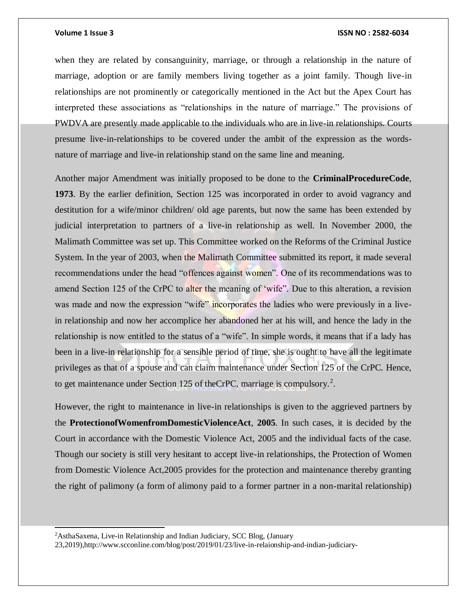when they are related by consanguinity, marriage, or through a relationship in the nature of marriage, adoption or are family members living together as a joint family. Though live-in relationships are not prominently or categorically mentioned in the Act but the Apex Court has interpreted these associations as "relationships in the nature of marriage." The provisions of PWDVA are presently made applicable to the individuals who are in live-in relationships. Courts presume live-in-relationships to be covered under the ambit of the expression as the wordsnature of marriage and live-in relationship stand on the same line and meaning.

Another major Amendment was initially proposed to be done to the **CriminalProcedureCode**, **1973**. By the earlier definition, Section 125 was incorporated in order to avoid vagrancy and destitution for a wife/minor children/ old age parents, but now the same has been extended by judicial interpretation to partners of a live-in relationship as well. In November 2000, the Malimath Committee was set up. This Committee worked on the Reforms of the Criminal Justice System. In the year of 2003, when the Malimath Committee submitted its report, it made several recommendations under the head "offences against women". One of its recommendations was to amend Section 125 of the CrPC to alter the meaning of 'wife''. Due to this alteration, a revision was made and now the expression "wife" incorporates the ladies who were previously in a livein relationship and now her accomplice her abandoned her at his will, and hence the lady in the relationship is now entitled to the status of a "wife". In simple words, it means that if a lady has been in a live-in relationship for a sensible period of time, she is ought to have all the legitimate privileges as that of a spouse and can claim maintenance under Section 125 of the CrPC. Hence, to get maintenance under Section 125 of the CrPC, marriage is compulsory.<sup>2</sup>.

However, the right to maintenance in live-in relationships is given to the aggrieved partners by the **ProtectionofWomenfromDomesticViolenceAct**, **2005**. In such cases, it is decided by the Court in accordance with the Domestic Violence Act, 2005 and the individual facts of the case. Though our society is still very hesitant to accept live-in relationships, the Protection of Women from Domestic Violence Act,2005 provides for the protection and maintenance thereby granting the right of palimony (a form of alimony paid to a former partner in a non-marital relationship)

<sup>2</sup>AsthaSaxena, Live-in Relationship and Indian Judiciary, SCC Blog, (January

l

23,2019),http://www.scconline.com/blog/post/2019/01/23/live-in-relaionship-and-indian-judiciary-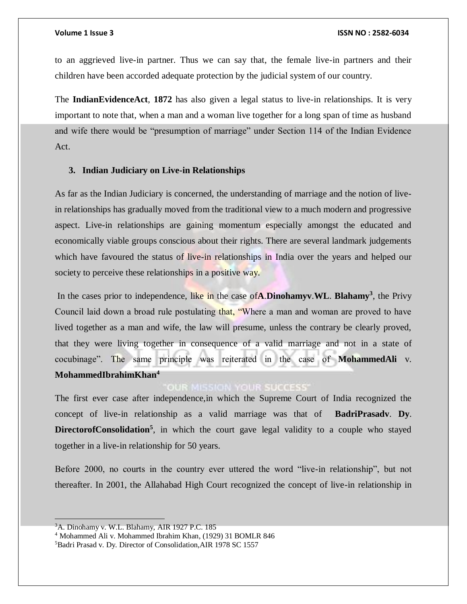to an aggrieved live-in partner. Thus we can say that, the female live-in partners and their children have been accorded adequate protection by the judicial system of our country.

The **IndianEvidenceAct**, **1872** has also given a legal status to live-in relationships. It is very important to note that, when a man and a woman live together for a long span of time as husband and wife there would be "presumption of marriage" under Section 114 of the Indian Evidence Act.

# **3. Indian Judiciary on Live-in Relationships**

As far as the Indian Judiciary is concerned, the understanding of marriage and the notion of livein relationships has gradually moved from the traditional view to a much modern and progressive aspect. Live-in relationships are gaining momentum especially amongst the educated and economically viable groups conscious about their rights. There are several landmark judgements which have favoured the status of live-in relationships in India over the years and helped our society to perceive these relationships in a positive way.

In the cases prior to independence, like in the case of**A**.**Dinohamyv**.**WL**. **Blahamy<sup>3</sup>** , the Privy Council laid down a broad rule postulating that, "Where a man and woman are proved to have lived together as a man and wife, the law will presume, unless the contrary be clearly proved, that they were living together in consequence of a valid marriage and not in a state of cocubinage". The same principle was reiterated in the case of **MohammedAli** v. **MohammedIbrahimKhan<sup>4</sup>**

# **OUR MISSION YOUR SUCCESS**

The first ever case after independence,in which the Supreme Court of India recognized the concept of live-in relationship as a valid marriage was that of **BadriPrasadv**. **Dy**. DirectorofConsolidation<sup>5</sup>, in which the court gave legal validity to a couple who stayed together in a live-in relationship for 50 years.

Before 2000, no courts in the country ever uttered the word "live-in relationship", but not thereafter. In 2001, the Allahabad High Court recognized the concept of live-in relationship in

 $3A$ . Dinohamy v. W.L. Blahamy, AIR 1927 P.C. 185

<sup>4</sup> Mohammed Ali v. Mohammed Ibrahim Khan, (1929) 31 BOMLR 846

<sup>&</sup>lt;sup>5</sup>Badri Prasad v. Dy. Director of Consolidation, AIR 1978 SC 1557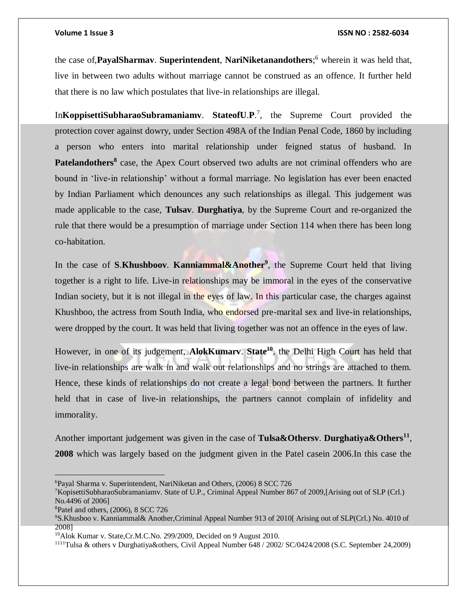the case of,**PayalSharmav**. **Superintendent**, **NariNiketanandothers**; <sup>6</sup> wherein it was held that, live in between two adults without marriage cannot be construed as an offence. It further held that there is no law which postulates that live-in relationships are illegal.

In**KoppisettiSubharaoSubramaniamv**. **StateofU**.**P**. 7 , the Supreme Court provided the protection cover against dowry, under Section 498A of the Indian Penal Code, 1860 by including a person who enters into marital relationship under feigned status of husband. In Patelandothers<sup>8</sup> case, the Apex Court observed two adults are not criminal offenders who are bound in 'live-in relationship' without a formal marriage. No legislation has ever been enacted by Indian Parliament which denounces any such relationships as illegal. This judgement was made applicable to the case, **Tulsav**. **Durghatiya**, by the Supreme Court and re-organized the rule that there would be a presumption of marriage under Section 114 when there has been long co-habitation.

In the case of **S**.**Khushboov**. **Kanniammal&Another<sup>9</sup>** , the Supreme Court held that living together is a right to life. Live-in relationships may be immoral in the eyes of the conservative Indian society, but it is not illegal in the eyes of law. In this particular case, the charges against Khushboo, the actress from South India, who endorsed pre-marital sex and live-in relationships, were dropped by the court. It was held that living together was not an offence in the eyes of law.

However, in one of its judgement, **AlokKumarv**. **State<sup>10</sup>**, the Delhi High Court has held that live-in relationships are walk in and walk out relationships and no strings are attached to them. Hence, these kinds of relationships do not create a legal bond between the partners. It further held that in case of live-in relationships, the partners cannot complain of infidelity and immorality.

Another important judgement was given in the case of **Tulsa&Othersv**. **Durghatiya&Others<sup>11</sup>** , **2008** which was largely based on the judgment given in the Patel casein 2006.In this case the

<sup>6</sup>Payal Sharma v. Superintendent, NariNiketan and Others, (2006) 8 SCC 726

<sup>7</sup>KopisettiSubharaoSubramaniamv. State of U.P., Criminal Appeal Number 867 of 2009,[Arising out of SLP (Crl.) No.4496 of 2006]

<sup>8</sup>Patel and others, (2006), 8 SCC 726

<sup>9</sup>S.Khusboo v. Kanniammal& Another,Criminal Appeal Number 913 of 2010[ Arising out of SLP(Crl.) No. 4010 of 2008]

<sup>10</sup>Alok Kumar v. State,Cr.M.C.No. 299/2009, Decided on 9 August 2010.

<sup>1111</sup>Tulsa & others v Durghatiya&others, Civil Appeal Number 648 / 2002/ SC/0424/2008 (S.C. September 24,2009)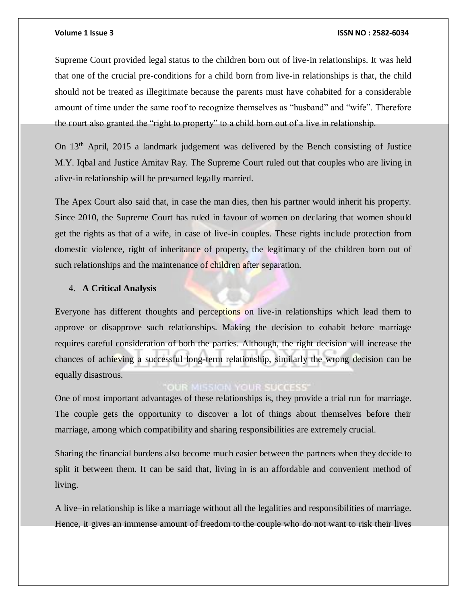Supreme Court provided legal status to the children born out of live-in relationships. It was held that one of the crucial pre-conditions for a child born from live-in relationships is that, the child should not be treated as illegitimate because the parents must have cohabited for a considerable amount of time under the same roof to recognize themselves as "husband" and "wife". Therefore the court also granted the "right to property" to a child born out of a live in relationship.

On 13th April, 2015 a landmark judgement was delivered by the Bench consisting of Justice M.Y. Iqbal and Justice Amitav Ray. The Supreme Court ruled out that couples who are living in alive-in relationship will be presumed legally married.

The Apex Court also said that, in case the man dies, then his partner would inherit his property. Since 2010, the Supreme Court has ruled in favour of women on declaring that women should get the rights as that of a wife, in case of live-in couples. These rights include protection from domestic violence, right of inheritance of property, the legitimacy of the children born out of such relationships and the maintenance of children after separation.

# 4. **A Critical Analysis**

Everyone has different thoughts and perceptions on live-in relationships which lead them to approve or disapprove such relationships. Making the decision to cohabit before marriage requires careful consideration of both the parties. Although, the right decision will increase the chances of achieving a successful long-term relationship, similarly the wrong decision can be equally disastrous.

# **OUR MISSION YOUR SUCCESS'**

One of most important advantages of these relationships is, they provide a trial run for marriage. The couple gets the opportunity to discover a lot of things about themselves before their marriage, among which compatibility and sharing responsibilities are extremely crucial.

Sharing the financial burdens also become much easier between the partners when they decide to split it between them. It can be said that, living in is an affordable and convenient method of living.

A live–in relationship is like a marriage without all the legalities and responsibilities of marriage. Hence, it gives an immense amount of freedom to the couple who do not want to risk their lives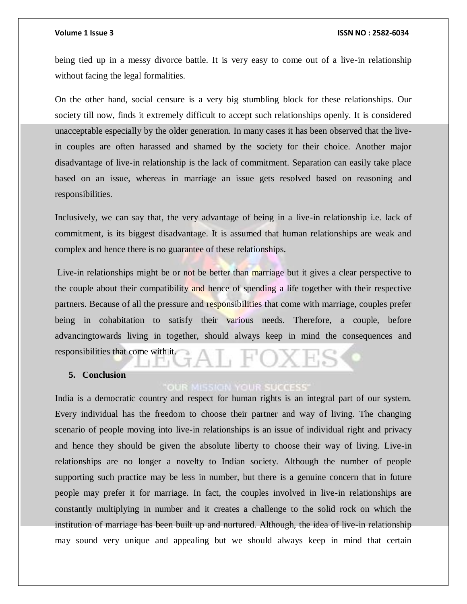being tied up in a messy divorce battle. It is very easy to come out of a live-in relationship without facing the legal formalities.

On the other hand, social censure is a very big stumbling block for these relationships. Our society till now, finds it extremely difficult to accept such relationships openly. It is considered unacceptable especially by the older generation. In many cases it has been observed that the livein couples are often harassed and shamed by the society for their choice. Another major disadvantage of live-in relationship is the lack of commitment. Separation can easily take place based on an issue, whereas in marriage an issue gets resolved based on reasoning and responsibilities.

Inclusively, we can say that, the very advantage of being in a live-in relationship i.e. lack of commitment, is its biggest disadvantage. It is assumed that human relationships are weak and complex and hence there is no guarantee of these relationships.

Live-in relationships might be or not be better than marriage but it gives a clear perspective to the couple about their compatibility and hence of spending a life together with their respective partners. Because of all the pressure and responsibilities that come with marriage, couples prefer being in cohabitation to satisfy their various needs. Therefore, a couple, before advancingtowards living in together, should always keep in mind the consequences and responsibilities that come with it.

# **5. Conclusion**

# **OUR MISSION YOUR SUCCESS**

India is a democratic country and respect for human rights is an integral part of our system. Every individual has the freedom to choose their partner and way of living. The changing scenario of people moving into live-in relationships is an issue of individual right and privacy and hence they should be given the absolute liberty to choose their way of living. Live-in relationships are no longer a novelty to Indian society. Although the number of people supporting such practice may be less in number, but there is a genuine concern that in future people may prefer it for marriage. In fact, the couples involved in live-in relationships are constantly multiplying in number and it creates a challenge to the solid rock on which the institution of marriage has been built up and nurtured. Although, the idea of live-in relationship may sound very unique and appealing but we should always keep in mind that certain